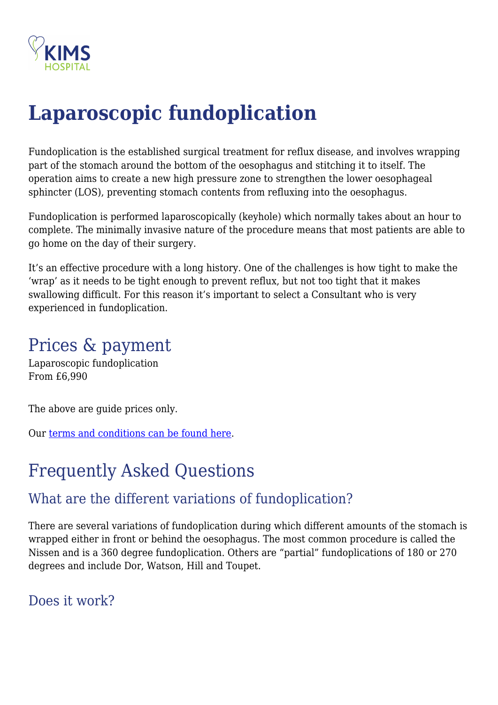

# **Laparoscopic fundoplication**

Fundoplication is the established surgical treatment for reflux disease, and involves wrapping part of the stomach around the bottom of the oesophagus and stitching it to itself. The operation aims to create a new high pressure zone to strengthen the lower oesophageal sphincter (LOS), preventing stomach contents from refluxing into the oesophagus.

Fundoplication is performed laparoscopically (keyhole) which normally takes about an hour to complete. The minimally invasive nature of the procedure means that most patients are able to go home on the day of their surgery.

It's an effective procedure with a long history. One of the challenges is how tight to make the 'wrap' as it needs to be tight enough to prevent reflux, but not too tight that it makes swallowing difficult. For this reason it's important to select a Consultant who is very experienced in fundoplication.

## Prices & payment

Laparoscopic fundoplication From £6,990

The above are guide prices only.

Our [terms and conditions can be found here.](https://kims.org.uk/terms-conditions/)

# Frequently Asked Questions

#### What are the different variations of fundoplication?

There are several variations of fundoplication during which different amounts of the stomach is wrapped either in front or behind the oesophagus. The most common procedure is called the Nissen and is a 360 degree fundoplication. Others are "partial" fundoplications of 180 or 270 degrees and include Dor, Watson, Hill and Toupet.

Does it work?